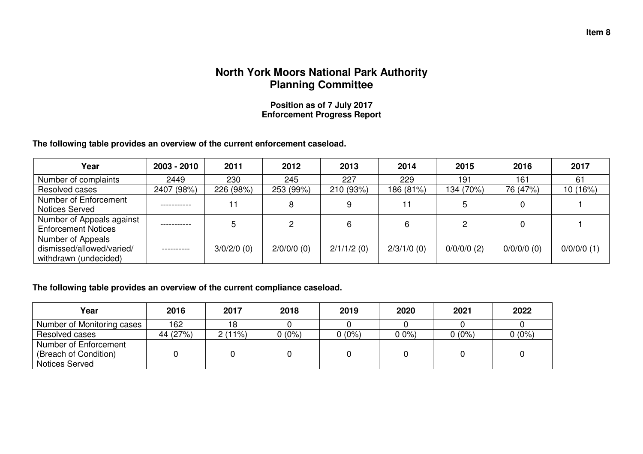## **North York Moors National Park Authority Planning Committee**

**Position as of 7 July 2017 Enforcement Progress Report** 

**The following table provides an overview of the current enforcement caseload.** 

| Year                                                                    | $2003 - 2010$ | 2011          | 2012          | 2013          | 2014          | 2015          | 2016          | 2017          |
|-------------------------------------------------------------------------|---------------|---------------|---------------|---------------|---------------|---------------|---------------|---------------|
| Number of complaints                                                    | 2449          | 230           | 245           | 227           | 229           | 191           | 161           | 61            |
| Resolved cases                                                          | 2407 (98%)    | 226 (98%)     | 253 (99%)     | 210 (93%)     | 186 (81%)     | 134 (70%)     | 76 (47%)      | 10 (16%)      |
| Number of Enforcement<br>Notices Served                                 | .             |               |               |               | 11            | 5             |               |               |
| Number of Appeals against<br><b>Enforcement Notices</b>                 | -----------   |               |               |               | 6             |               |               |               |
| Number of Appeals<br>dismissed/allowed/varied/<br>withdrawn (undecided) | . <u>.</u>    | $3/0/2/0$ (0) | $2/0/0/0$ (0) | $2/1/1/2$ (0) | $2/3/1/0$ (0) | $0/0/0/0$ (2) | $0/0/0/0$ (0) | $0/0/0/0$ (1) |

**The following table provides an overview of the current compliance caseload.** 

| Year                                                                    | 2016     | 2017   | 2018     | 2019   | 2020   | 2021     | 2022     |
|-------------------------------------------------------------------------|----------|--------|----------|--------|--------|----------|----------|
| Number of Monitoring cases                                              | 162      | 18     |          |        |        |          |          |
| Resolved cases                                                          | 44 (27%) | 2(11%) | $0(0\%)$ | 0 (0%) | $00\%$ | $0(0\%)$ | $0(0\%)$ |
| Number of Enforcement<br>(Breach of Condition)<br><b>Notices Served</b> |          |        |          |        |        |          |          |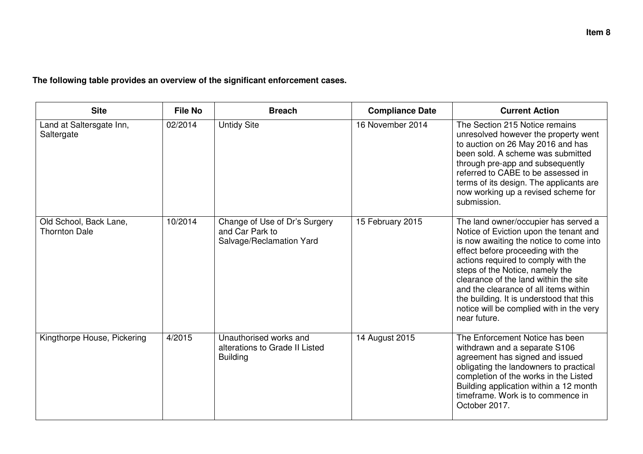**The following table provides an overview of the significant enforcement cases.** 

| <b>Site</b>                                    | <b>File No</b> | <b>Breach</b>                                                                | <b>Compliance Date</b> | <b>Current Action</b>                                                                                                                                                                                                                                                                                                                                                                                                              |
|------------------------------------------------|----------------|------------------------------------------------------------------------------|------------------------|------------------------------------------------------------------------------------------------------------------------------------------------------------------------------------------------------------------------------------------------------------------------------------------------------------------------------------------------------------------------------------------------------------------------------------|
| Land at Saltersgate Inn,<br>Saltergate         | 02/2014        | <b>Untidy Site</b>                                                           | 16 November 2014       | The Section 215 Notice remains<br>unresolved however the property went<br>to auction on 26 May 2016 and has<br>been sold. A scheme was submitted<br>through pre-app and subsequently<br>referred to CABE to be assessed in<br>terms of its design. The applicants are<br>now working up a revised scheme for<br>submission.                                                                                                        |
| Old School, Back Lane,<br><b>Thornton Dale</b> | 10/2014        | Change of Use of Dr's Surgery<br>and Car Park to<br>Salvage/Reclamation Yard | 15 February 2015       | The land owner/occupier has served a<br>Notice of Eviction upon the tenant and<br>is now awaiting the notice to come into<br>effect before proceeding with the<br>actions required to comply with the<br>steps of the Notice, namely the<br>clearance of the land within the site<br>and the clearance of all items within<br>the building. It is understood that this<br>notice will be complied with in the very<br>near future. |
| Kingthorpe House, Pickering                    | 4/2015         | Unauthorised works and<br>alterations to Grade II Listed<br><b>Building</b>  | 14 August 2015         | The Enforcement Notice has been<br>withdrawn and a separate S106<br>agreement has signed and issued<br>obligating the landowners to practical<br>completion of the works in the Listed<br>Building application within a 12 month<br>timeframe. Work is to commence in<br>October 2017.                                                                                                                                             |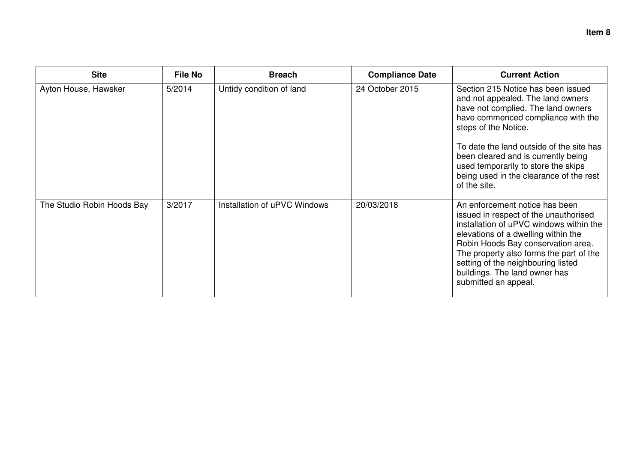| <b>Site</b>                | <b>File No</b> | <b>Breach</b>                | <b>Compliance Date</b> | <b>Current Action</b>                                                                                                                                                                                                                                                                                                                                            |
|----------------------------|----------------|------------------------------|------------------------|------------------------------------------------------------------------------------------------------------------------------------------------------------------------------------------------------------------------------------------------------------------------------------------------------------------------------------------------------------------|
| Ayton House, Hawsker       | 5/2014         | Untidy condition of land     | 24 October 2015        | Section 215 Notice has been issued<br>and not appealed. The land owners<br>have not complied. The land owners<br>have commenced compliance with the<br>steps of the Notice.<br>To date the land outside of the site has<br>been cleared and is currently being<br>used temporarily to store the skips<br>being used in the clearance of the rest<br>of the site. |
| The Studio Robin Hoods Bay | 3/2017         | Installation of uPVC Windows | 20/03/2018             | An enforcement notice has been<br>issued in respect of the unauthorised<br>installation of uPVC windows within the<br>elevations of a dwelling within the<br>Robin Hoods Bay conservation area.<br>The property also forms the part of the<br>setting of the neighbouring listed<br>buildings. The land owner has<br>submitted an appeal.                        |